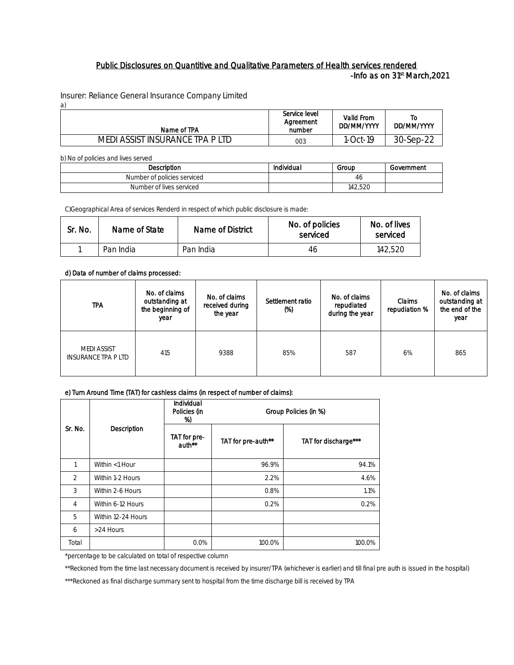## Public Disclosures on Quantitive and Qualitative Parameters of Health services rendered  $-$ Info as on 31 $^{\rm st}$  March,2021  $-$

Insurer: Reliance General Insurance Company Limited a)

| Name of TPA                     | Service level<br>Agreement<br>number | Valid From<br>DD/MM/YYYY | 10<br>DD/MM/YYYY |
|---------------------------------|--------------------------------------|--------------------------|------------------|
| MEDI ASSIST INSURANCE TPA P LTD | 003                                  | 1-Oct-19                 | 30-Sep-22        |

b) No of policies and lives served

| <b>Description</b>          | Individual | Group   | Government |
|-----------------------------|------------|---------|------------|
| Number of policies serviced |            | 46      |            |
| Number of lives serviced    |            | 142,520 |            |

C)Geographical Area of services Renderd in respect of which public disclosure is made:

| Sr. No. | Name of State | Name of District | No. of policies<br>serviced | No. of lives<br>serviced |
|---------|---------------|------------------|-----------------------------|--------------------------|
|         | Pan India     | Pan India        | 46                          | 142.52C                  |

d) Data of number of claims processed:

| <b>TPA</b>                                       | No. of claims<br>outstanding at<br>the beginning of<br>year | No. of claims<br>received during<br>the year | Settlement ratio<br>(%) | No. of claims<br>repudiated<br>during the year | Claims<br>repudiation % | No. of claims<br>outstanding at<br>the end of the<br>year |
|--------------------------------------------------|-------------------------------------------------------------|----------------------------------------------|-------------------------|------------------------------------------------|-------------------------|-----------------------------------------------------------|
| <b>MEDI ASSIST</b><br><b>INSURANCE TPA P LTD</b> | 415                                                         | 9388                                         | 85%                     | 587                                            | 6%                      | 865                                                       |

## e) Turn Around Time (TAT) for cashless claims (in respect of number of claims):

| Description<br>Sr. No. |                    | Individual<br>Policies (in<br>%) | Group Policies (in %) |                      |  |
|------------------------|--------------------|----------------------------------|-----------------------|----------------------|--|
|                        |                    | TAT for pre-<br>auth**           | TAT for pre-auth**    | TAT for discharge*** |  |
|                        | Within <1 Hour     |                                  | 96.9%                 | 94.1%                |  |
| $\mathfrak{D}$         | Within 1-2 Hours   |                                  | 2.2%                  | 4.6%                 |  |
| 3                      | Within 2-6 Hours   |                                  | 0.8%                  | 1.1%                 |  |
| 4                      | Within 6-12 Hours  |                                  | 0.2%                  | 0.2%                 |  |
| 5                      | Within 12-24 Hours |                                  |                       |                      |  |
| 6                      | >24 Hours          |                                  |                       |                      |  |
| Total                  |                    | 0.0%                             | 100.0%                | 100.0%               |  |

\*percentage to be calculated on total of respective column

\*\*Reckoned from the time last necessary document is received by insurer/TPA (whichever is earlier) and till final pre auth is issued in the hospital)

\*\*\*Reckoned as final discharge summary sent to hospital from the time discharge bill is received by TPA